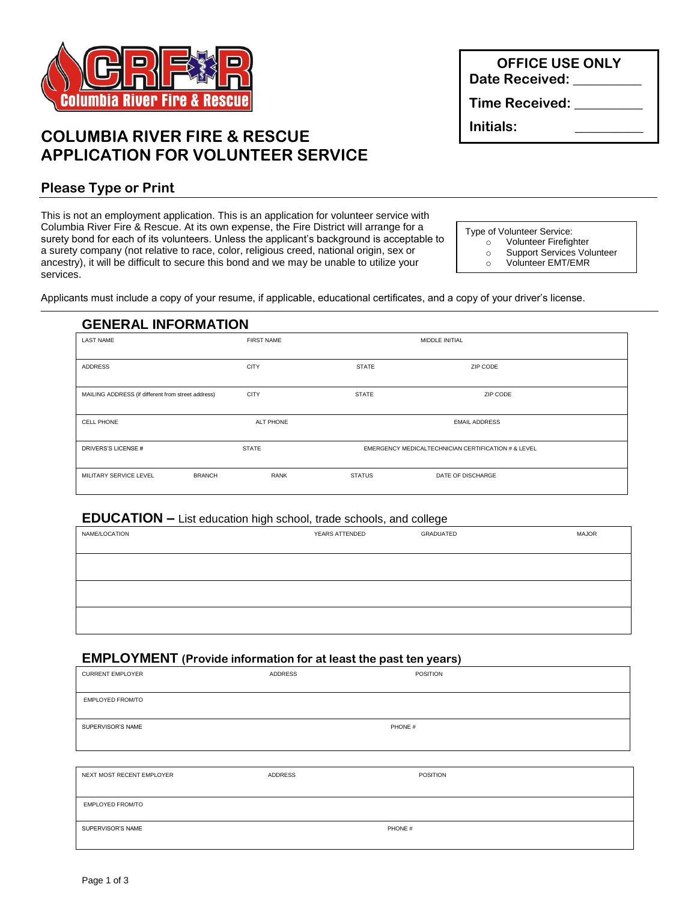

# **COLUMBIA RIVER FIRE & RESCUE APPLICATION FOR VOLUNTEER SERVICE**

## **Please Type or Print**

This is not an employment application. This is an application for volunteer service with Columbia River Fire & Rescue. At its own expense, the Fire District will arrange for a surety bond for each of its volunteers. Unless the applicant's background is acceptable to a surety company (not relative to race, color, religious creed, national origin, sex or ancestry), it will be difficult to secure this bond and we may be unable to utilize your services.

Type of Volunteer Service:

- o Volunteer Firefighter
- o Support Services Volunteer
- o Volunteer EMT/EMR

Applicants must include a copy of your resume, if applicable, educational certificates, and a copy of your driver's license.

### **GENERAL INFORMATION**

| <b>LAST NAME</b>                                   | <b>FIRST NAME</b> |                                                     | MIDDLE INITIAL       |  |
|----------------------------------------------------|-------------------|-----------------------------------------------------|----------------------|--|
| ADDRESS                                            | <b>CITY</b>       | <b>STATE</b>                                        | ZIP CODE             |  |
| MAILING ADDRESS (if different from street address) | <b>CITY</b>       | <b>STATE</b>                                        | ZIP CODE             |  |
| <b>CELL PHONE</b>                                  | <b>ALT PHONE</b>  |                                                     | <b>EMAIL ADDRESS</b> |  |
| DRIVERS'S LICENSE #                                | <b>STATE</b>      | EMERGENCY MEDICALTECHNICIAN CERTIFICATION # & LEVEL |                      |  |
| MILITARY SERVICE LEVEL<br><b>BRANCH</b>            | <b>RANK</b>       | <b>STATUS</b>                                       | DATE OF DISCHARGE    |  |

### **EDUCATION –** List education high school, trade schools, and college

| NAME/LOCATION | YEARS ATTENDED | GRADUATED | <b>MAJOR</b> |
|---------------|----------------|-----------|--------------|
|               |                |           |              |
|               |                |           |              |
|               |                |           |              |
|               |                |           |              |
|               |                |           |              |

#### **EMPLOYMENT (Provide information for at least the past ten years)**

| <b>CURRENT EMPLOYER</b>   | ADDRESS | <b>POSITION</b> |
|---------------------------|---------|-----------------|
| EMPLOYED FROM/TO          |         |                 |
| SUPERVISOR'S NAME         |         | PHONE #         |
|                           |         |                 |
| NEXT MOST RECENT EMPLOYER | ADDRESS | POSITION        |
| EMPLOYED FROM/TO          |         |                 |
| SUPERVISOR'S NAME         |         | PHONE #         |

**OFFICE USE ONLY** Date Received: **We are all 2000** 

**Time Received: \_\_\_\_\_\_\_\_\_\_**

**Initials: \_\_\_\_\_\_\_\_\_\_**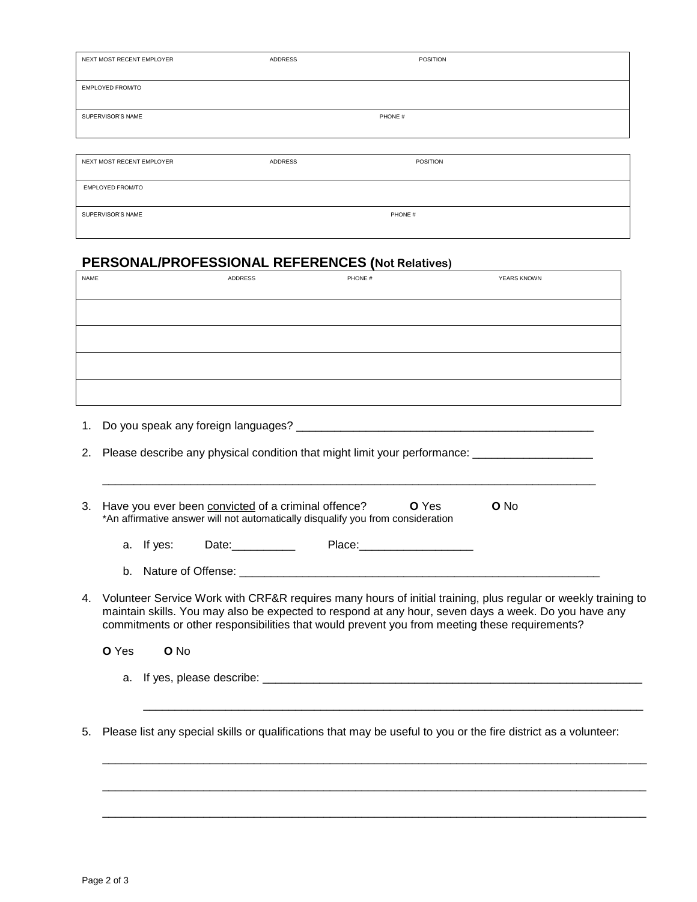| NEXT MOST RECENT EMPLOYER | ADDRESS | POSITION        |  |
|---------------------------|---------|-----------------|--|
| EMPLOYED FROM/TO          |         |                 |  |
| SUPERVISOR'S NAME         |         | PHONE #         |  |
|                           |         |                 |  |
| NEXT MOST RECENT EMPLOYER | ADDRESS | <b>POSITION</b> |  |
| EMPLOYED FROM/TO          |         |                 |  |
| SUPERVISOR'S NAME         |         | PHONE #         |  |

#### **PERSONAL/PROFESSIONAL REFERENCES (Not Relatives)**

| NAME                                      | ADDRESS | PHONE # | YEARS KNOWN |
|-------------------------------------------|---------|---------|-------------|
|                                           |         |         |             |
|                                           |         |         |             |
|                                           |         |         |             |
|                                           |         |         |             |
|                                           |         |         |             |
|                                           |         |         |             |
|                                           |         |         |             |
|                                           |         |         |             |
|                                           |         |         |             |
| Do you speak any foreign languages?<br>1. |         |         |             |

2. Please describe any physical condition that might limit your performance: \_\_\_\_\_\_\_\_\_\_\_\_\_\_\_\_\_\_\_\_\_\_\_\_\_\_\_\_\_\_\_\_\_

| 3. Have you ever been convicted of a criminal offence?                          | <b>O</b> Yes | <b>O</b> No |
|---------------------------------------------------------------------------------|--------------|-------------|
| *An affirmative answer will not automatically disqualify you from consideration |              |             |

a. If yes: Date:\_\_\_\_\_\_\_\_\_\_ Place:\_\_\_\_\_\_\_\_\_\_\_\_\_\_\_\_\_\_

\_\_\_\_\_\_\_\_\_\_\_\_\_\_\_\_\_\_\_\_\_\_\_\_\_\_\_\_\_\_\_\_\_\_\_\_\_\_\_\_\_\_\_\_\_\_\_\_\_\_\_\_\_\_\_\_\_\_\_\_\_\_\_\_\_\_\_\_\_\_\_\_\_\_\_\_\_\_

b. Nature of Offense: \_\_\_\_\_\_\_\_\_\_\_\_\_\_\_\_\_\_\_\_\_\_\_\_\_\_\_\_\_\_\_\_\_\_\_\_\_\_\_\_\_\_\_\_\_\_\_\_\_\_\_\_\_\_\_\_\_

4. Volunteer Service Work with CRF&R requires many hours of initial training, plus regular or weekly training to maintain skills. You may also be expected to respond at any hour, seven days a week. Do you have any commitments or other responsibilities that would prevent you from meeting these requirements?

\_\_\_\_\_\_\_\_\_\_\_\_\_\_\_\_\_\_\_\_\_\_\_\_\_\_\_\_\_\_\_\_\_\_\_\_\_\_\_\_\_\_\_\_\_\_\_\_\_\_\_\_\_\_\_\_\_\_\_\_\_\_\_\_\_\_\_\_\_\_\_\_\_\_\_\_\_\_\_

\_\_\_\_\_\_\_\_\_\_\_\_\_\_\_\_\_\_\_\_\_\_\_\_\_\_\_\_\_\_\_\_\_\_\_\_\_\_\_\_\_\_\_\_\_\_\_\_\_\_\_\_\_\_\_\_\_\_\_\_\_\_\_\_\_\_\_\_\_\_\_\_\_\_\_\_\_\_\_\_\_\_\_\_\_\_

\_\_\_\_\_\_\_\_\_\_\_\_\_\_\_\_\_\_\_\_\_\_\_\_\_\_\_\_\_\_\_\_\_\_\_\_\_\_\_\_\_\_\_\_\_\_\_\_\_\_\_\_\_\_\_\_\_\_\_\_\_\_\_\_\_\_\_\_\_\_\_\_\_\_\_\_\_\_\_\_\_\_\_\_\_\_

\_\_\_\_\_\_\_\_\_\_\_\_\_\_\_\_\_\_\_\_\_\_\_\_\_\_\_\_\_\_\_\_\_\_\_\_\_\_\_\_\_\_\_\_\_\_\_\_\_\_\_\_\_\_\_\_\_\_\_\_\_\_\_\_\_\_\_\_\_\_\_\_\_\_\_\_\_\_\_\_\_\_\_\_\_\_

| <b>O</b> Yes | <b>O</b> No |
|--------------|-------------|
|--------------|-------------|

a. If yes, please describe:  $\overline{a}$ 

5. Please list any special skills or qualifications that may be useful to you or the fire district as a volunteer: